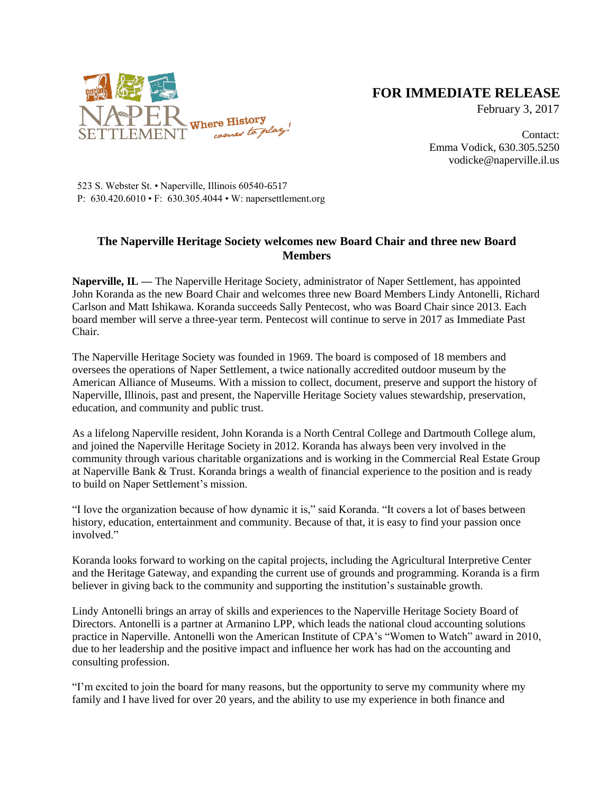

## **FOR IMMEDIATE RELEASE**

February 3, 2017

Contact: Emma Vodick, 630.305.5250 vodicke@naperville.il.us

523 S. Webster St. • Naperville, Illinois 60540-6517 P: 630.420.6010 • F: 630.305.4044 • W: napersettlement.org

## **The Naperville Heritage Society welcomes new Board Chair and three new Board Members**

**Naperville, IL —** The Naperville Heritage Society, administrator of Naper Settlement, has appointed John Koranda as the new Board Chair and welcomes three new Board Members Lindy Antonelli, Richard Carlson and Matt Ishikawa. Koranda succeeds Sally Pentecost, who was Board Chair since 2013. Each board member will serve a three-year term. Pentecost will continue to serve in 2017 as Immediate Past Chair.

The Naperville Heritage Society was founded in 1969. The board is composed of 18 members and oversees the operations of Naper Settlement, a twice nationally accredited outdoor museum by the American Alliance of Museums. With a mission to collect, document, preserve and support the history of Naperville, Illinois, past and present, the Naperville Heritage Society values stewardship, preservation, education, and community and public trust.

As a lifelong Naperville resident, John Koranda is a North Central College and Dartmouth College alum, and joined the Naperville Heritage Society in 2012. Koranda has always been very involved in the community through various charitable organizations and is working in the Commercial Real Estate Group at Naperville Bank & Trust. Koranda brings a wealth of financial experience to the position and is ready to build on Naper Settlement's mission.

"I love the organization because of how dynamic it is," said Koranda. "It covers a lot of bases between history, education, entertainment and community. Because of that, it is easy to find your passion once involved."

Koranda looks forward to working on the capital projects, including the Agricultural Interpretive Center and the Heritage Gateway, and expanding the current use of grounds and programming. Koranda is a firm believer in giving back to the community and supporting the institution's sustainable growth.

Lindy Antonelli brings an array of skills and experiences to the Naperville Heritage Society Board of Directors. Antonelli is a partner at Armanino LPP, which leads the national cloud accounting solutions practice in Naperville. Antonelli won the American Institute of CPA's "Women to Watch" award in 2010, due to her leadership and the positive impact and influence her work has had on the accounting and consulting profession.

"I'm excited to join the board for many reasons, but the opportunity to serve my community where my family and I have lived for over 20 years, and the ability to use my experience in both finance and